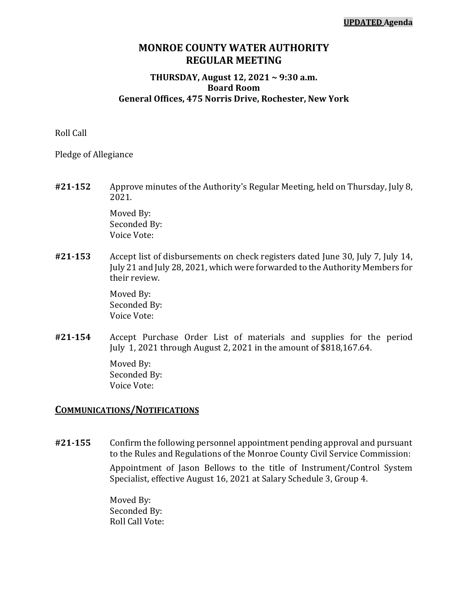### **MONROE COUNTY WATER AUTHORITY REGULAR MEETING**

#### **THURSDAY, August 12, 2021 ~ 9:30 a.m. Board Room General Offices, 475 Norris Drive, Rochester, New York**

Roll Call

Pledge of Allegiance

**#21-152** Approve minutes of the Authority's Regular Meeting, held on Thursday, July 8, 2021.

> Moved By: Seconded By: Voice Vote:

**#21-153** Accept list of disbursements on check registers dated June 30, July 7, July 14, July 21 and July 28, 2021, which were forwarded to the Authority Members for their review.

> Moved By: Seconded By: Voice Vote:

**#21-154** Accept Purchase Order List of materials and supplies for the period July 1, 2021 through August 2, 2021 in the amount of \$818,167.64.

> Moved By: Seconded By: Voice Vote:

### **COMMUNICATIONS/NOTIFICATIONS**

**#21-155** Confirm the following personnel appointment pending approval and pursuant to the Rules and Regulations of the Monroe County Civil Service Commission:

> Appointment of Jason Bellows to the title of Instrument/Control System Specialist, effective August 16, 2021 at Salary Schedule 3, Group 4.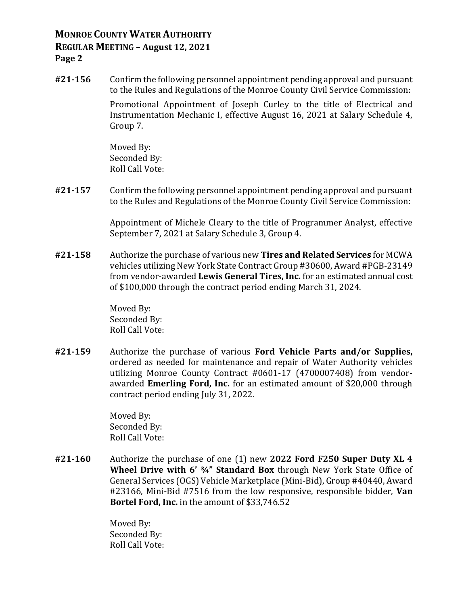**#21-156** Confirm the following personnel appointment pending approval and pursuant to the Rules and Regulations of the Monroe County Civil Service Commission:

Promotional Appointment of Joseph Curley to the title of Electrical and Instrumentation Mechanic I, effective August 16, 2021 at Salary Schedule 4, Group 7.

Moved By: Seconded By: Roll Call Vote:

**#21-157** Confirm the following personnel appointment pending approval and pursuant to the Rules and Regulations of the Monroe County Civil Service Commission:

> Appointment of Michele Cleary to the title of Programmer Analyst, effective September 7, 2021 at Salary Schedule 3, Group 4.

**#21-158** Authorize the purchase of various new **Tires and Related Services** for MCWA vehicles utilizing New York State Contract Group #30600, Award #PGB-23149 from vendor-awarded **Lewis General Tires, Inc.** for an estimated annual cost of \$100,000 through the contract period ending March 31, 2024.

> Moved By: Seconded By: Roll Call Vote:

**#21-159** Authorize the purchase of various **Ford Vehicle Parts and/or Supplies,**  ordered as needed for maintenance and repair of Water Authority vehicles utilizing Monroe County Contract #0601-17 (4700007408) from vendorawarded **Emerling Ford, Inc.** for an estimated amount of \$20,000 through contract period ending July 31, 2022.

> Moved By: Seconded By: Roll Call Vote:

**#21-160** Authorize the purchase of one (1) new **2022 Ford F250 Super Duty XL 4 Wheel Drive with 6' ¾" Standard Box** through New York State Office of General Services (OGS) Vehicle Marketplace (Mini-Bid), Group #40440, Award #23166, Mini-Bid #7516 from the low responsive, responsible bidder, **Van Bortel Ford, Inc.** in the amount of \$33,746.52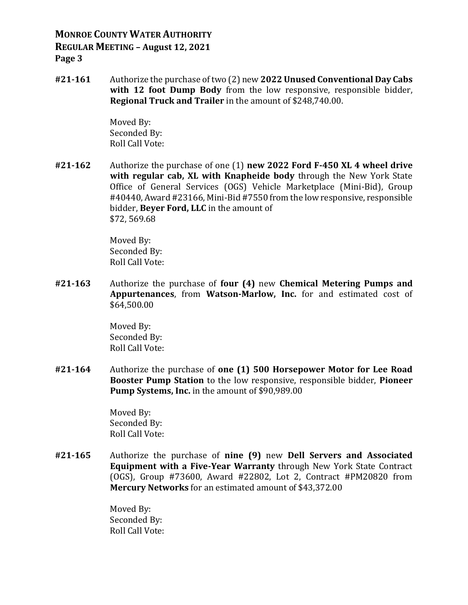**#21-161** Authorize the purchase of two (2) new **2022 Unused Conventional Day Cabs**  with 12 foot Dump Body from the low responsive, responsible bidder, **Regional Truck and Trailer** in the amount of \$248,740.00.

> Moved By: Seconded By: Roll Call Vote:

**#21-162** Authorize the purchase of one (1) **new 2022 Ford F-450 XL 4 wheel drive with regular cab, XL with Knapheide body** through the New York State Office of General Services (OGS) Vehicle Marketplace (Mini-Bid), Group #40440, Award #23166, Mini-Bid #7550 from the low responsive, responsible bidder, **Beyer Ford, LLC** in the amount of \$72, 569.68

> Moved By: Seconded By: Roll Call Vote:

**#21-163** Authorize the purchase of **four (4)** new **Chemical Metering Pumps and Appurtenances**, from **Watson-Marlow, Inc.** for and estimated cost of \$64,500.00

> Moved By: Seconded By: Roll Call Vote:

**#21-164** Authorize the purchase of **one (1) 500 Horsepower Motor for Lee Road Booster Pump Station** to the low responsive, responsible bidder, **Pioneer Pump Systems, Inc.** in the amount of \$90,989.00

> Moved By: Seconded By: Roll Call Vote:

**#21-165** Authorize the purchase of **nine (9)** new **Dell Servers and Associated Equipment with a Five-Year Warranty** through New York State Contract (OGS), Group #73600, Award #22802, Lot 2, Contract #PM20820 from **Mercury Networks** for an estimated amount of \$43,372.00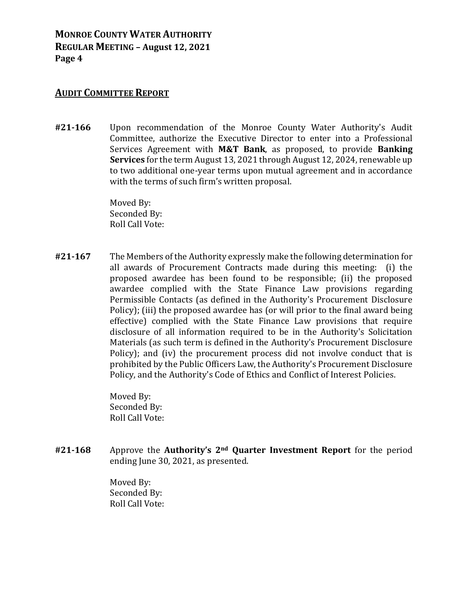#### **AUDIT COMMITTEE REPORT**

**#21-166** Upon recommendation of the Monroe County Water Authority's Audit Committee, authorize the Executive Director to enter into a Professional Services Agreement with **M&T Bank**, as proposed, to provide **Banking Services** for the term August 13, 2021 through August 12, 2024, renewable up to two additional one-year terms upon mutual agreement and in accordance with the terms of such firm's written proposal.

> Moved By: Seconded By: Roll Call Vote:

**#21-167** The Members of the Authority expressly make the following determination for all awards of Procurement Contracts made during this meeting: (i) the proposed awardee has been found to be responsible; (ii) the proposed awardee complied with the State Finance Law provisions regarding Permissible Contacts (as defined in the Authority's Procurement Disclosure Policy); (iii) the proposed awardee has (or will prior to the final award being effective) complied with the State Finance Law provisions that require disclosure of all information required to be in the Authority's Solicitation Materials (as such term is defined in the Authority's Procurement Disclosure Policy); and (iv) the procurement process did not involve conduct that is prohibited by the Public Officers Law, the Authority's Procurement Disclosure Policy, and the Authority's Code of Ethics and Conflict of Interest Policies.

> Moved By: Seconded By: Roll Call Vote:

**#21-168** Approve the **Authority's 2nd Quarter Investment Report** for the period ending June 30, 2021, as presented.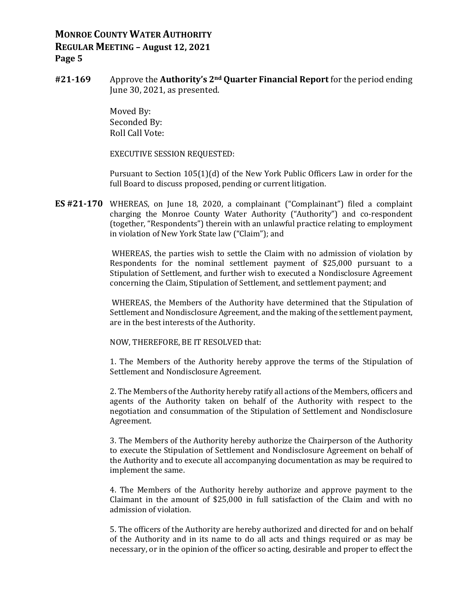**#21-169** Approve the **Authority's 2nd Quarter Financial Report** for the period ending June 30, 2021, as presented.

> Moved By: Seconded By: Roll Call Vote:

EXECUTIVE SESSION REQUESTED:

Pursuant to Section 105(1)(d) of the New York Public Officers Law in order for the full Board to discuss proposed, pending or current litigation.

**ES #21-170** WHEREAS, on June 18, 2020, a complainant ("Complainant") filed a complaint charging the Monroe County Water Authority ("Authority") and co-respondent (together, "Respondents") therein with an unlawful practice relating to employment in violation of New York State law ("Claim"); and

> WHEREAS, the parties wish to settle the Claim with no admission of violation by Respondents for the nominal settlement payment of \$25,000 pursuant to a Stipulation of Settlement, and further wish to executed a Nondisclosure Agreement concerning the Claim, Stipulation of Settlement, and settlement payment; and

> WHEREAS, the Members of the Authority have determined that the Stipulation of Settlement and Nondisclosure Agreement, and the making of the settlement payment, are in the best interests of the Authority.

NOW, THEREFORE, BE IT RESOLVED that:

1. The Members of the Authority hereby approve the terms of the Stipulation of Settlement and Nondisclosure Agreement.

2. The Members of the Authority hereby ratify all actions of the Members, officers and agents of the Authority taken on behalf of the Authority with respect to the negotiation and consummation of the Stipulation of Settlement and Nondisclosure Agreement.

3. The Members of the Authority hereby authorize the Chairperson of the Authority to execute the Stipulation of Settlement and Nondisclosure Agreement on behalf of the Authority and to execute all accompanying documentation as may be required to implement the same.

4. The Members of the Authority hereby authorize and approve payment to the Claimant in the amount of \$25,000 in full satisfaction of the Claim and with no admission of violation.

5. The officers of the Authority are hereby authorized and directed for and on behalf of the Authority and in its name to do all acts and things required or as may be necessary, or in the opinion of the officer so acting, desirable and proper to effect the